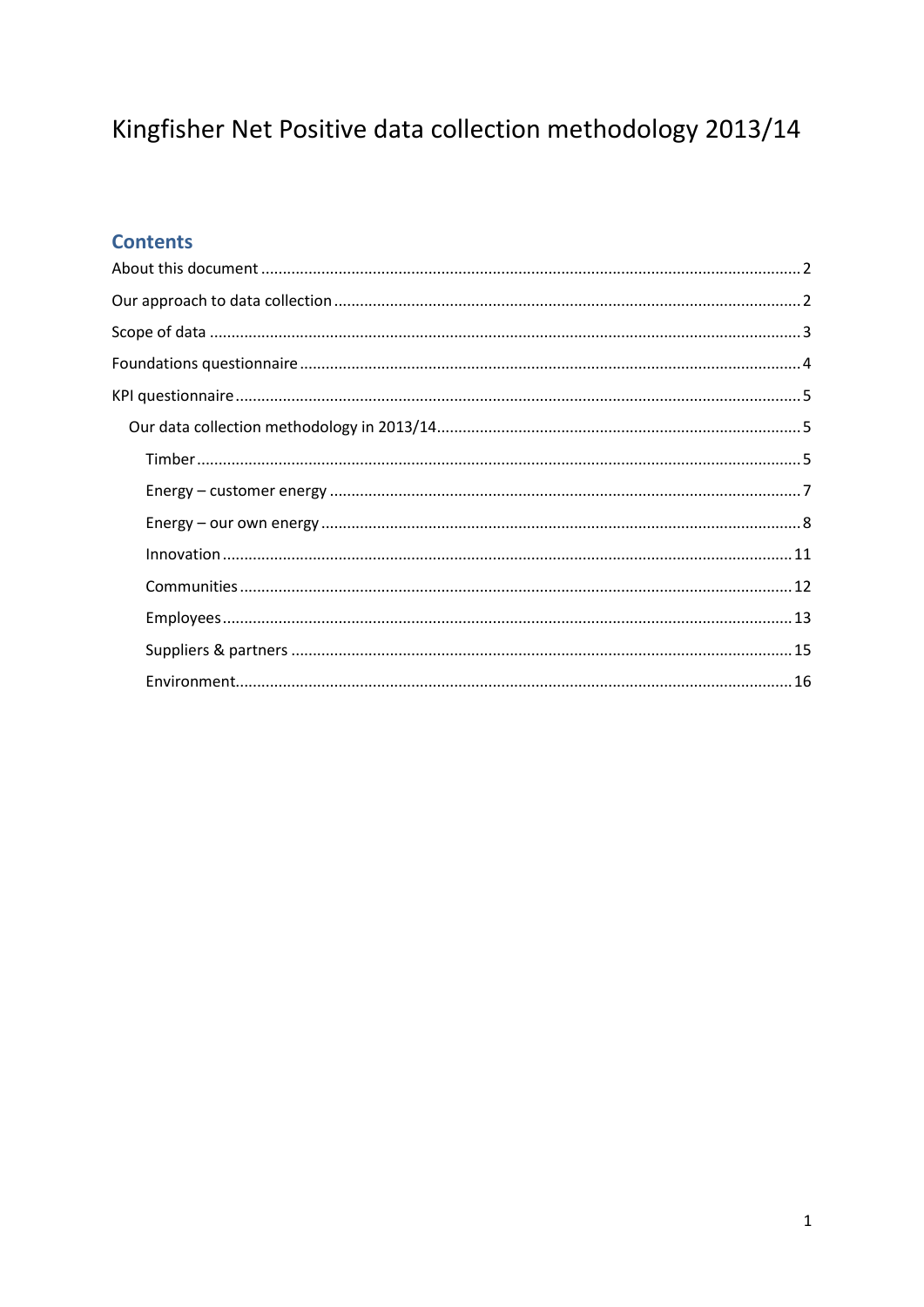# Kingfisher Net Positive data collection methodology 2013/14

## **Contents**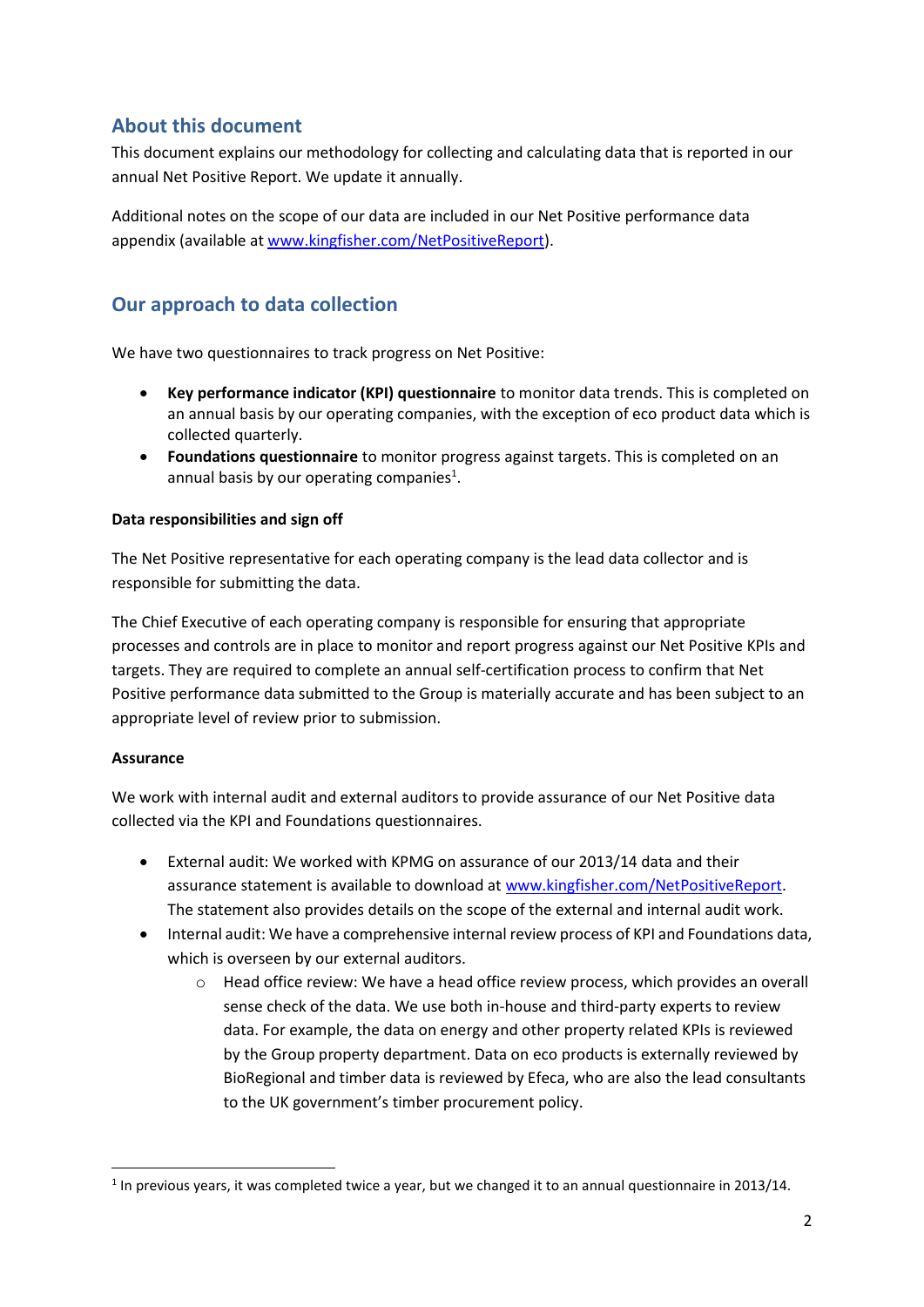## <span id="page-1-0"></span>**About this document**

This document explains our methodology for collecting and calculating data that is reported in our annual Net Positive Report. We update it annually.

Additional notes on the scope of our data are included in our Net Positive performance data appendix (available a[t www.kingfisher.com/NetPositiveReport\)](http://www.kingfisher.com/NetPositiveReport).

## <span id="page-1-1"></span>**Our approach to data collection**

We have two questionnaires to track progress on Net Positive:

- **EXEY PERFORMANCE INDICATOR (KPI) questionnaire** to monitor data trends. This is completed on an annual basis by our operating companies, with the exception of eco product data which is collected quarterly.
- **Foundations questionnaire** to monitor progress against targets. This is completed on an annual basis by our operating companies $<sup>1</sup>$ .</sup>

#### **Data responsibilities and sign off**

The Net Positive representative for each operating company is the lead data collector and is responsible for submitting the data.

The Chief Executive of each operating company is responsible for ensuring that appropriate processes and controls are in place to monitor and report progress against our Net Positive KPIs and targets. They are required to complete an annual self-certification process to confirm that Net Positive performance data submitted to the Group is materially accurate and has been subject to an appropriate level of review prior to submission.

#### **Assurance**

We work with internal audit and external auditors to provide assurance of our Net Positive data collected via the KPI and Foundations questionnaires.

- External audit: We worked with KPMG on assurance of our 2013/14 data and their assurance statement is available to download a[t www.kingfisher.com/NetPositiveReport.](http://www.kingfisher.com/NetPositiveReport) The statement also provides details on the scope of the external and internal audit work.
- Internal audit: We have a comprehensive internal review process of KPI and Foundations data, which is overseen by our external auditors.
	- o Head office review: We have a head office review process, which provides an overall sense check of the data. We use both in-house and third-party experts to review data. For example, the data on energy and other property related KPIs is reviewed by the Group property department. Data on eco products is externally reviewed by BioRegional and timber data is reviewed by Efeca, who are also the lead consultants to the UK government's timber procurement policy.

 $1$  In previous vears, it was completed twice a year, but we changed it to an annual questionnaire in 2013/14.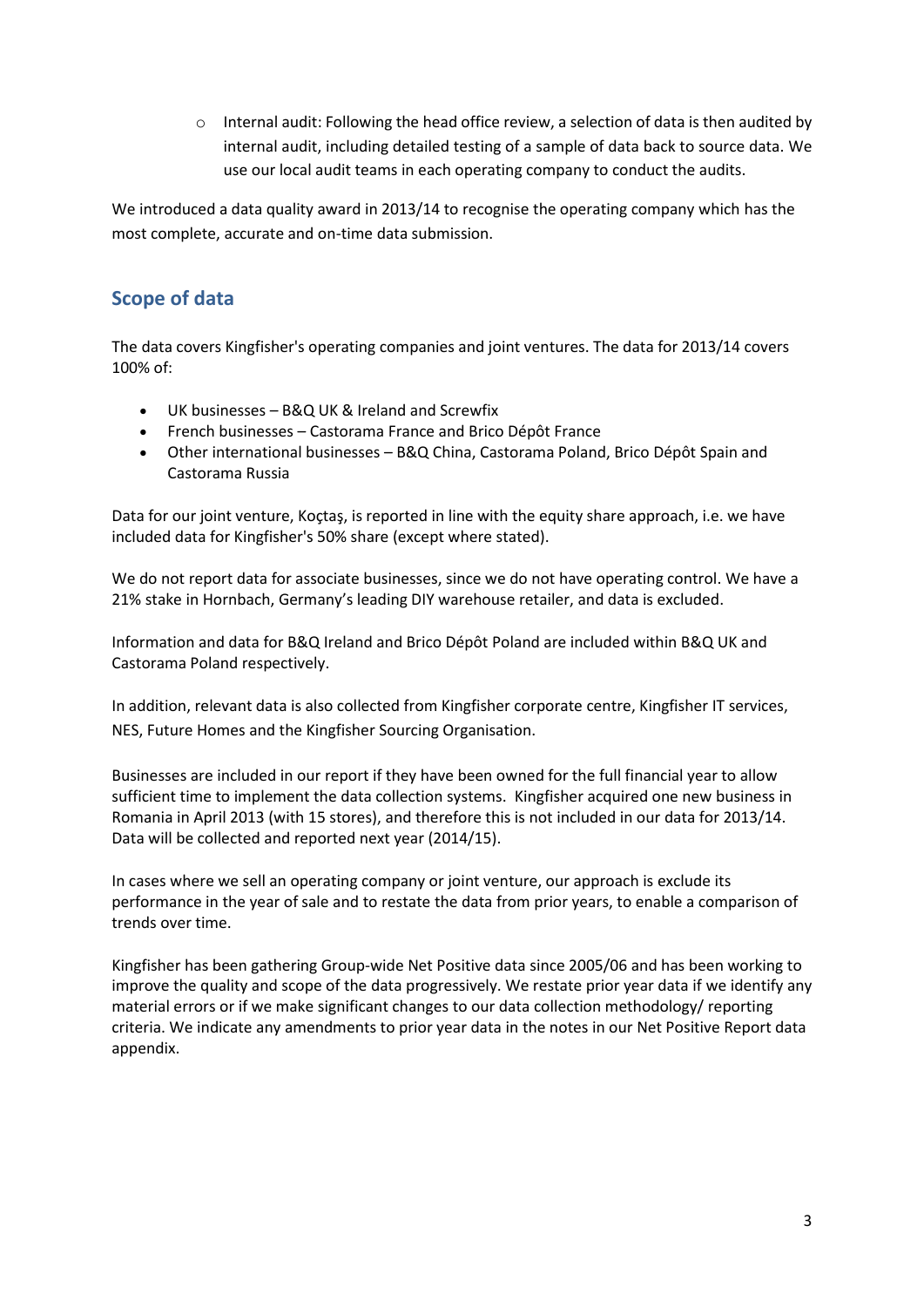$\circ$  Internal audit: Following the head office review, a selection of data is then audited by internal audit, including detailed testing of a sample of data back to source data. We use our local audit teams in each operating company to conduct the audits.

We introduced a data quality award in 2013/14 to recognise the operating company which has the most complete, accurate and on-time data submission.

## <span id="page-2-0"></span>**Scope of data**

The data covers Kingfisher's operating companies and joint ventures. The data for 2013/14 covers 100% of:

- x UK businesses B&Q UK & Ireland and Screwfix
- French businesses Castorama France and Brico Dépôt France
- Other international businesses B&Q China, Castorama Poland, Brico Dépôt Spain and Castorama Russia

Data for our joint venture, Koçtaş, is reported in line with the equity share approach, i.e. we have included data for Kingfisher's 50% share (except where stated).

We do not report data for associate businesses, since we do not have operating control. We have a 21% stake in Hornbach, Germany's leading DIY warehouse retailer, and data is excluded.

Information and data for B&Q Ireland and Brico Dépôt Poland are included within B&Q UK and Castorama Poland respectively.

In addition, relevant data is also collected from Kingfisher corporate centre, Kingfisher IT services, NES, Future Homes and the Kingfisher Sourcing Organisation.

Businesses are included in our report if they have been owned for the full financial year to allow sufficient time to implement the data collection systems. Kingfisher acquired one new business in Romania in April 2013 (with 15 stores), and therefore this is not included in our data for 2013/14. Data will be collected and reported next year (2014/15).

In cases where we sell an operating company or joint venture, our approach is exclude its performance in the year of sale and to restate the data from prior years, to enable a comparison of trends over time.

Kingfisher has been gathering Group-wide Net Positive data since 2005/06 and has been working to improve the quality and scope of the data progressively. We restate prior year data if we identify any material errors or if we make significant changes to our data collection methodology/ reporting criteria. We indicate any amendments to prior year data in the notes in our Net Positive Report data appendix.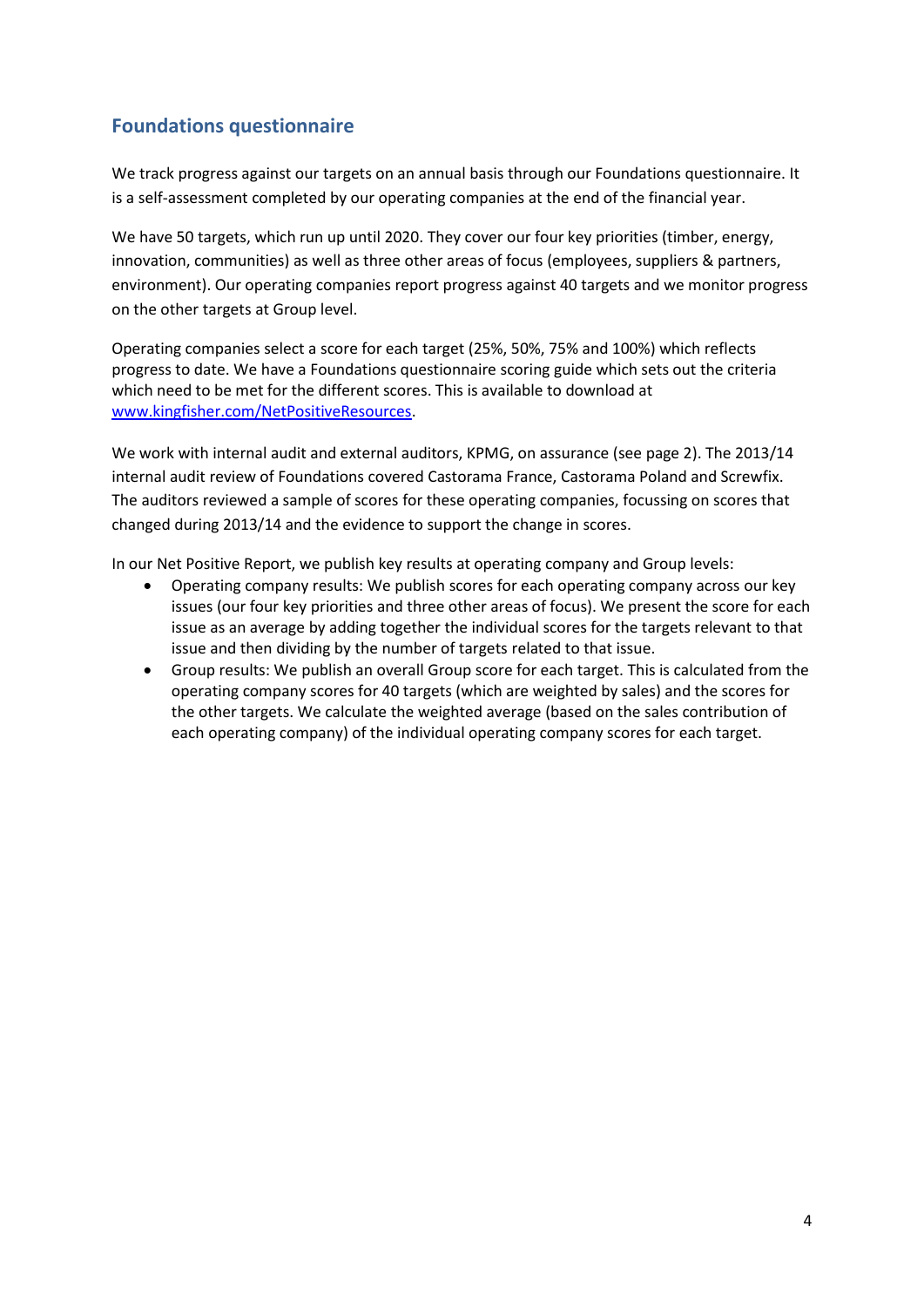## <span id="page-3-0"></span>**Foundations questionnaire**

We track progress against our targets on an annual basis through our Foundations questionnaire. It is a self-assessment completed by our operating companies at the end of the financial year.

We have 50 targets, which run up until 2020. They cover our four key priorities (timber, energy, innovation, communities) as well as three other areas of focus (employees, suppliers & partners, environment). Our operating companies report progress against 40 targets and we monitor progress on the other targets at Group level.

Operating companies select a score for each target (25%, 50%, 75% and 100%) which reflects progress to date. We have a Foundations questionnaire scoring guide which sets out the criteria which need to be met for the different scores. This is available to download at [www.kingfisher.com/NetPositiveResources.](http://www.kingfisher.com/NetPositiveResources)

We work with internal audit and external auditors, KPMG, on assurance (see page 2). The 2013/14 internal audit review of Foundations covered Castorama France, Castorama Poland and Screwfix. The auditors reviewed a sample of scores for these operating companies, focussing on scores that changed during 2013/14 and the evidence to support the change in scores.

In our Net Positive Report, we publish key results at operating company and Group levels:

- Operating company results: We publish scores for each operating company across our key issues (our four key priorities and three other areas of focus). We present the score for each issue as an average by adding together the individual scores for the targets relevant to that issue and then dividing by the number of targets related to that issue.
- Group results: We publish an overall Group score for each target. This is calculated from the operating company scores for 40 targets (which are weighted by sales) and the scores for the other targets. We calculate the weighted average (based on the sales contribution of each operating company) of the individual operating company scores for each target.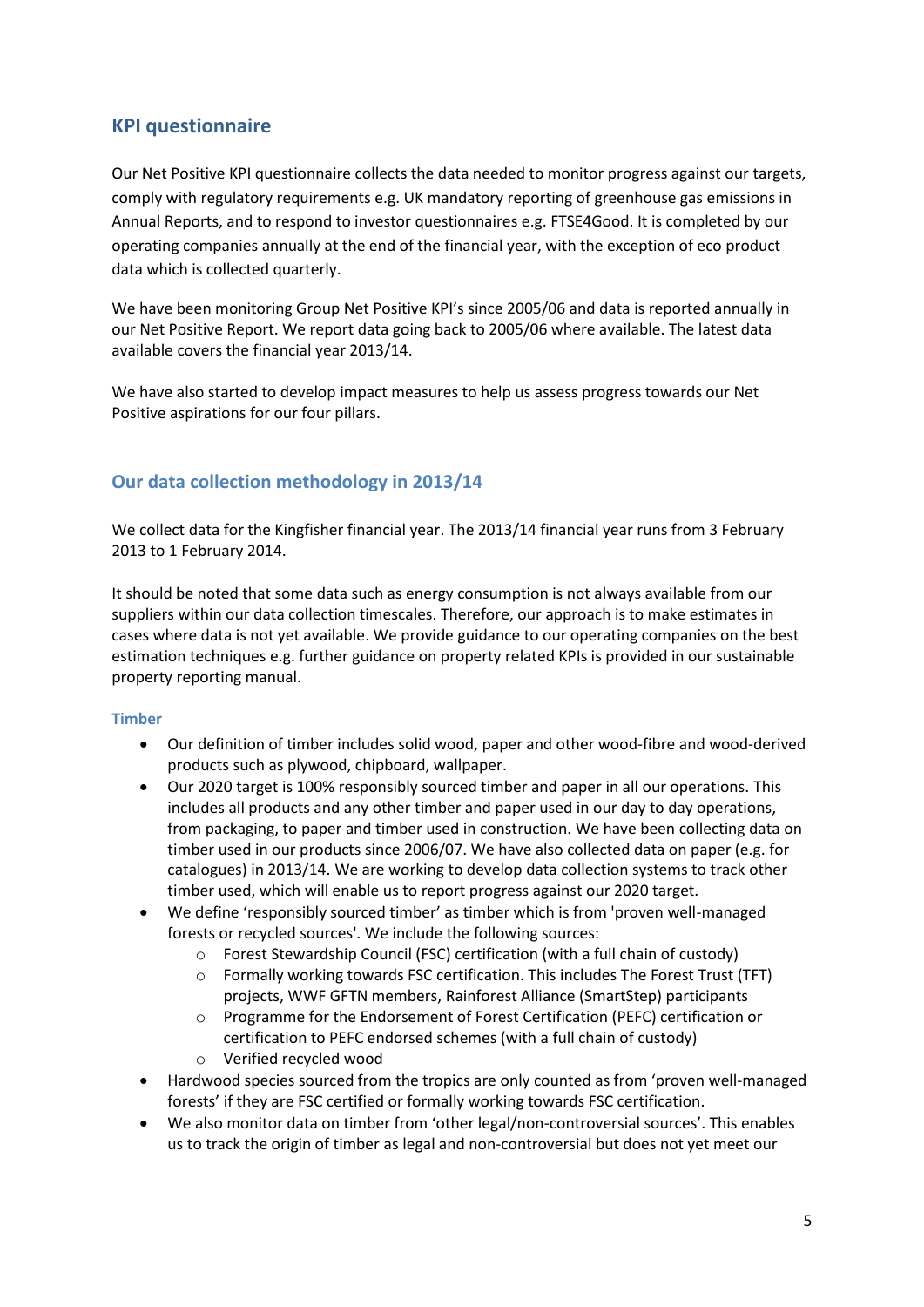## <span id="page-4-0"></span>**KPI questionnaire**

Our Net Positive KPI questionnaire collects the data needed to monitor progress against our targets, comply with regulatory requirements e.g. UK mandatory reporting of greenhouse gas emissions in Annual Reports, and to respond to investor questionnaires e.g. FTSE4Good. It is completed by our operating companies annually at the end of the financial year, with the exception of eco product data which is collected quarterly.

We have been monitoring Group Net Positive KPI's since 2005/06 and data is reported annually in our Net Positive Report. We report data going back to 2005/06 where available. The latest data available covers the financial year 2013/14.

We have also started to develop impact measures to help us assess progress towards our Net Positive aspirations for our four pillars.

### <span id="page-4-1"></span>**Our data collection methodology in 2013/14**

We collect data for the Kingfisher financial year. The 2013/14 financial year runs from 3 February 2013 to 1 February 2014.

It should be noted that some data such as energy consumption is not always available from our suppliers within our data collection timescales. Therefore, our approach is to make estimates in cases where data is not yet available. We provide guidance to our operating companies on the best estimation techniques e.g. further guidance on property related KPIs is provided in our sustainable property reporting manual.

#### <span id="page-4-2"></span>**Timber**

- Our definition of timber includes solid wood, paper and other wood-fibre and wood-derived products such as plywood, chipboard, wallpaper.
- Our 2020 target is 100% responsibly sourced timber and paper in all our operations. This includes all products and any other timber and paper used in our day to day operations, from packaging, to paper and timber used in construction. We have been collecting data on timber used in our products since 2006/07. We have also collected data on paper (e.g. for catalogues) in 2013/14. We are working to develop data collection systems to track other timber used, which will enable us to report progress against our 2020 target.
- We define 'responsibly sourced timber' as timber which is from 'proven well-managed forests or recycled sources'. We include the following sources:
	- o Forest Stewardship Council (FSC) certification (with a full chain of custody)
	- o Formally working towards FSC certification. This includes The Forest Trust (TFT) projects, WWF GFTN members, Rainforest Alliance (SmartStep) participants
	- o Programme for the Endorsement of Forest Certification (PEFC) certification or certification to PEFC endorsed schemes (with a full chain of custody)
	- o Verified recycled wood
- Hardwood species sourced from the tropics are only counted as from 'proven well-managed forests' if they are FSC certified or formally working towards FSC certification.
- x We also monitor data on timber from 'other legal/non-controversial sources'. This enables us to track the origin of timber as legal and non-controversial but does not yet meet our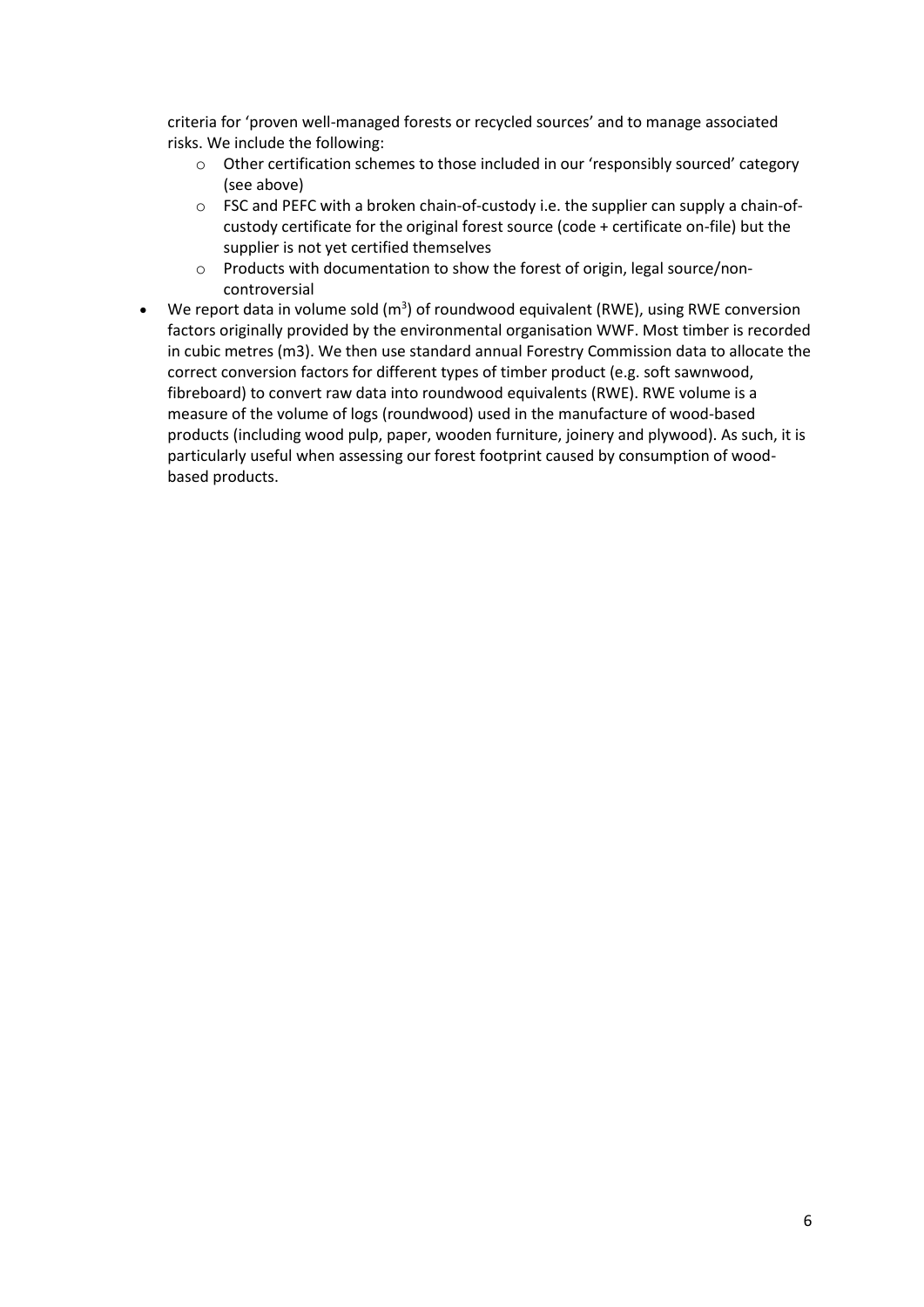criteria for 'proven well-managed forests or recycled sources' and to manage associated risks. We include the following:

- o Other certification schemes to those included in our 'responsibly sourced' category (see above)
- o FSC and PEFC with a broken chain-of-custody i.e. the supplier can supply a chain-ofcustody certificate for the original forest source (code + certificate on-file) but the supplier is not yet certified themselves
- o Products with documentation to show the forest of origin, legal source/noncontroversial
- We report data in volume sold  $(m^3)$  of roundwood equivalent (RWE), using RWE conversion factors originally provided by the environmental organisation WWF. Most timber is recorded in cubic metres (m3). We then use standard annual Forestry Commission data to allocate the correct conversion factors for different types of timber product (e.g. soft sawnwood, fibreboard) to convert raw data into roundwood equivalents (RWE). RWE volume is a measure of the volume of logs (roundwood) used in the manufacture of wood-based products (including wood pulp, paper, wooden furniture, joinery and plywood). As such, it is particularly useful when assessing our forest footprint caused by consumption of woodbased products.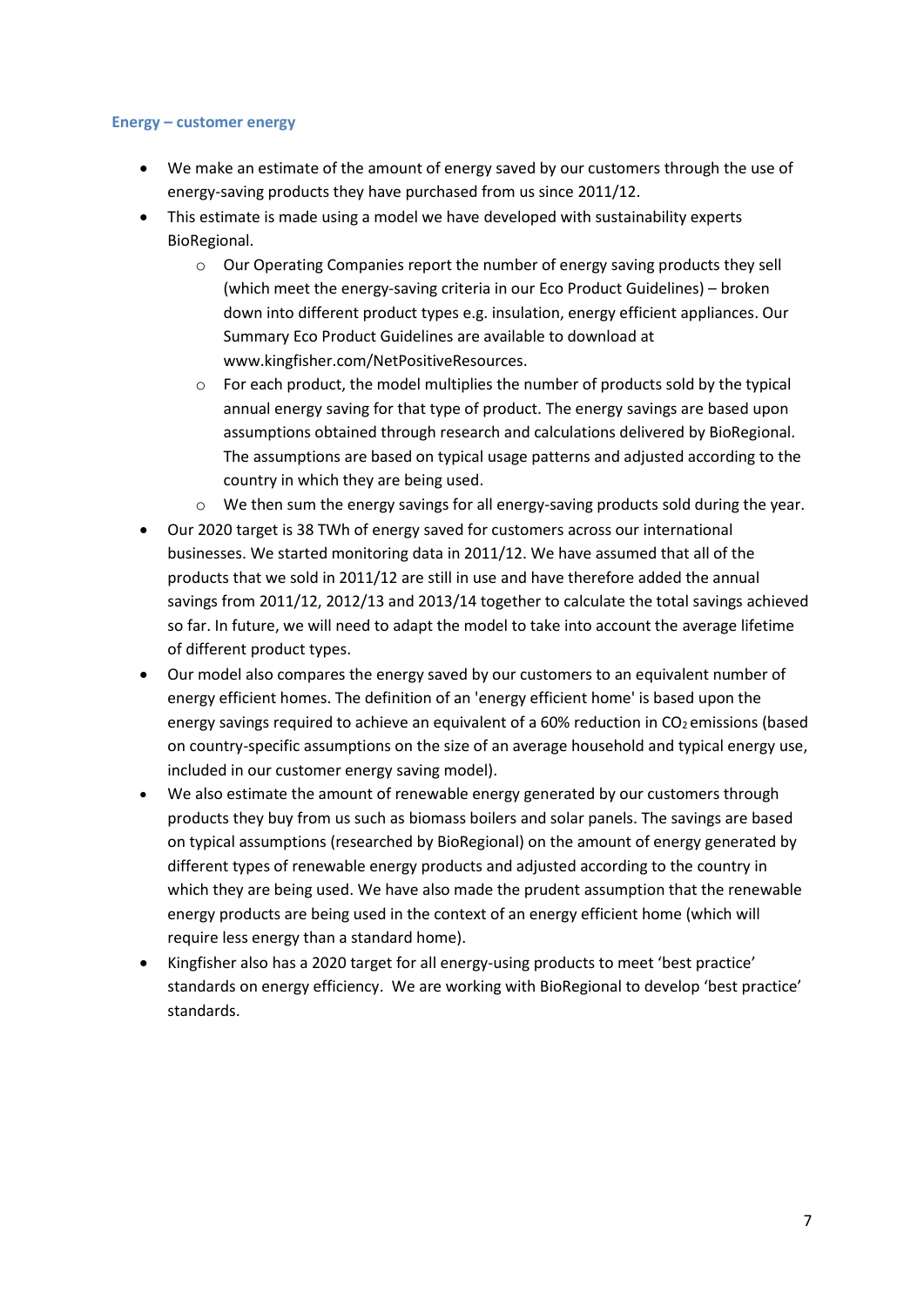#### <span id="page-6-0"></span>**Energy – customer energy**

- We make an estimate of the amount of energy saved by our customers through the use of energy-saving products they have purchased from us since 2011/12.
- This estimate is made using a model we have developed with sustainability experts BioRegional.
	- $\circ$  Our Operating Companies report the number of energy saving products they sell (which meet the energy-saving criteria in our Eco Product Guidelines) – broken down into different product types e.g. insulation, energy efficient appliances. Our Summary Eco Product Guidelines are available to download at www.kingfisher.com/NetPositiveResources.
	- o For each product, the model multiplies the number of products sold by the typical annual energy saving for that type of product. The energy savings are based upon assumptions obtained through research and calculations delivered by BioRegional. The assumptions are based on typical usage patterns and adjusted according to the country in which they are being used.
	- We then sum the energy savings for all energy-saving products sold during the year.
- Our 2020 target is 38 TWh of energy saved for customers across our international businesses. We started monitoring data in 2011/12. We have assumed that all of the products that we sold in 2011/12 are still in use and have therefore added the annual savings from 2011/12, 2012/13 and 2013/14 together to calculate the total savings achieved so far. In future, we will need to adapt the model to take into account the average lifetime of different product types.
- Our model also compares the energy saved by our customers to an equivalent number of energy efficient homes. The definition of an 'energy efficient home' is based upon the energy savings required to achieve an equivalent of a 60% reduction in  $CO<sub>2</sub>$  emissions (based on country-specific assumptions on the size of an average household and typical energy use, included in our customer energy saving model).
- We also estimate the amount of renewable energy generated by our customers through products they buy from us such as biomass boilers and solar panels. The savings are based on typical assumptions (researched by BioRegional) on the amount of energy generated by different types of renewable energy products and adjusted according to the country in which they are being used. We have also made the prudent assumption that the renewable energy products are being used in the context of an energy efficient home (which will require less energy than a standard home).
- x Kingfisher also has a 2020 target for all energy-using products to meet 'best practice' standards on energy efficiency. We are working with BioRegional to develop 'best practice' standards.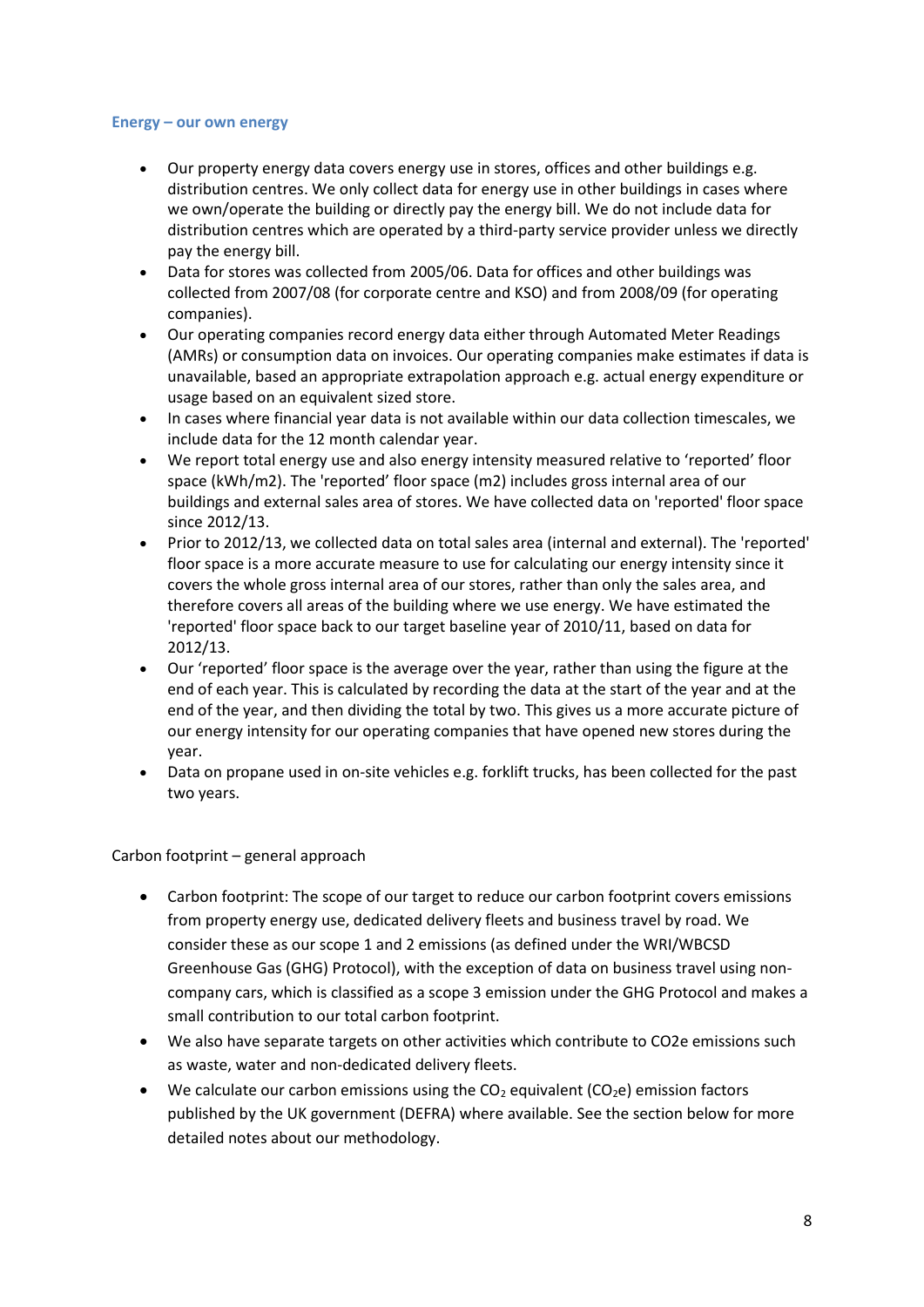#### <span id="page-7-0"></span>**Energy – our own energy**

- Our property energy data covers energy use in stores, offices and other buildings e.g. distribution centres. We only collect data for energy use in other buildings in cases where we own/operate the building or directly pay the energy bill. We do not include data for distribution centres which are operated by a third-party service provider unless we directly pay the energy bill.
- Data for stores was collected from 2005/06. Data for offices and other buildings was collected from 2007/08 (for corporate centre and KSO) and from 2008/09 (for operating companies).
- Our operating companies record energy data either through Automated Meter Readings (AMRs) or consumption data on invoices. Our operating companies make estimates if data is unavailable, based an appropriate extrapolation approach e.g. actual energy expenditure or usage based on an equivalent sized store.
- In cases where financial year data is not available within our data collection timescales, we include data for the 12 month calendar year.
- We report total energy use and also energy intensity measured relative to 'reported' floor space (kWh/m2). The 'reported' floor space (m2) includes gross internal area of our buildings and external sales area of stores. We have collected data on 'reported' floor space since 2012/13.
- Prior to 2012/13, we collected data on total sales area (internal and external). The 'reported' floor space is a more accurate measure to use for calculating our energy intensity since it covers the whole gross internal area of our stores, rather than only the sales area, and therefore covers all areas of the building where we use energy. We have estimated the 'reported' floor space back to our target baseline year of 2010/11, based on data for 2012/13.
- Our 'reported' floor space is the average over the year, rather than using the figure at the end of each year. This is calculated by recording the data at the start of the year and at the end of the year, and then dividing the total by two. This gives us a more accurate picture of our energy intensity for our operating companies that have opened new stores during the year.
- Data on propane used in on-site vehicles e.g. forklift trucks, has been collected for the past two years.

#### Carbon footprint – general approach

- Carbon footprint: The scope of our target to reduce our carbon footprint covers emissions from property energy use, dedicated delivery fleets and business travel by road. We consider these as our scope 1 and 2 emissions (as defined under the WRI/WBCSD Greenhouse Gas (GHG) Protocol), with the exception of data on business travel using noncompany cars, which is classified as a scope 3 emission under the GHG Protocol and makes a small contribution to our total carbon footprint.
- We also have separate targets on other activities which contribute to CO2e emissions such as waste, water and non-dedicated delivery fleets.
- $\bullet$  We calculate our carbon emissions using the CO<sub>2</sub> equivalent (CO<sub>2</sub>e) emission factors published by the UK government (DEFRA) where available. See the section below for more detailed notes about our methodology.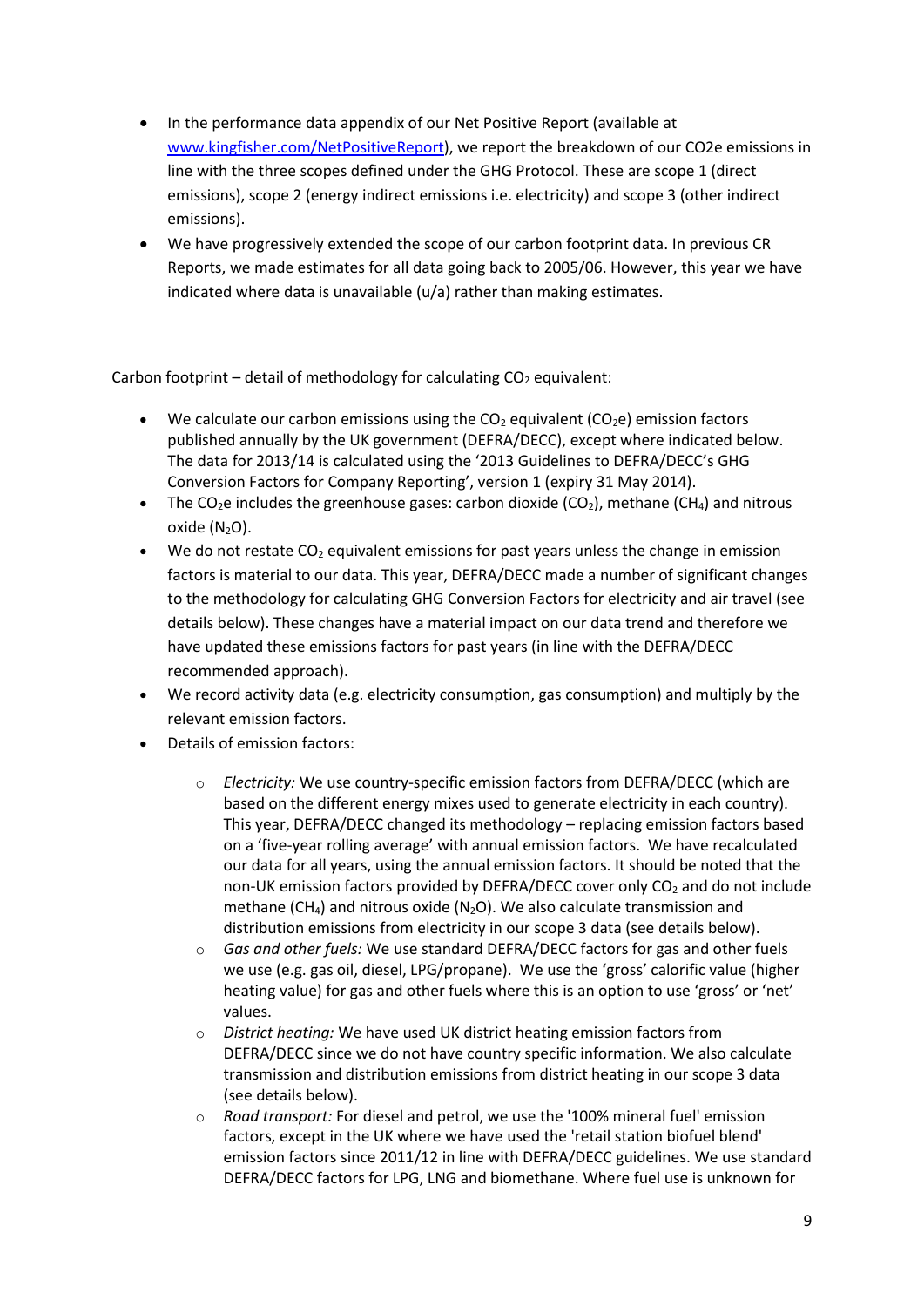- In the performance data appendix of our Net Positive Report (available at [www.kingfisher.com/NetPositiveReport\)](http://www.kingfisher.com/NetPositiveReport), we report the breakdown of our CO2e emissions in line with the three scopes defined under the GHG Protocol. These are scope 1 (direct emissions), scope 2 (energy indirect emissions i.e. electricity) and scope 3 (other indirect emissions).
- We have progressively extended the scope of our carbon footprint data. In previous CR Reports, we made estimates for all data going back to 2005/06. However, this year we have indicated where data is unavailable (u/a) rather than making estimates.

Carbon footprint – detail of methodology for calculating  $CO<sub>2</sub>$  equivalent:

- $\bullet$  We calculate our carbon emissions using the CO<sub>2</sub> equivalent (CO<sub>2</sub>e) emission factors published annually by the UK government (DEFRA/DECC), except where indicated below. The data for 2013/14 is calculated using the '2013 Guidelines to DEFRA/DECC's GHG Conversion Factors for Company Reporting', version 1 (expiry 31 May 2014).
- The CO<sub>2</sub>e includes the greenhouse gases: carbon dioxide (CO<sub>2</sub>), methane (CH<sub>4</sub>) and nitrous oxide  $(N_2O)$ .
- $\bullet$  We do not restate CO<sub>2</sub> equivalent emissions for past years unless the change in emission factors is material to our data. This year, DEFRA/DECC made a number of significant changes to the methodology for calculating GHG Conversion Factors for electricity and air travel (see details below). These changes have a material impact on our data trend and therefore we have updated these emissions factors for past years (in line with the DEFRA/DECC recommended approach).
- We record activity data (e.g. electricity consumption, gas consumption) and multiply by the relevant emission factors.
- Details of emission factors:
	- o *Electricity:* We use country-specific emission factors from DEFRA/DECC (which are based on the different energy mixes used to generate electricity in each country). This year, DEFRA/DECC changed its methodology – replacing emission factors based on a 'five-year rolling average' with annual emission factors. We have recalculated our data for all years, using the annual emission factors. It should be noted that the non-UK emission factors provided by DEFRA/DECC cover only CO<sub>2</sub> and do not include methane (CH<sub>4</sub>) and nitrous oxide (N<sub>2</sub>O). We also calculate transmission and distribution emissions from electricity in our scope 3 data (see details below).
	- o *Gas and other fuels:* We use standard DEFRA/DECC factors for gas and other fuels we use (e.g. gas oil, diesel, LPG/propane). We use the 'gross' calorific value (higher heating value) for gas and other fuels where this is an option to use 'gross' or 'net' values.
	- o *District heating:* We have used UK district heating emission factors from DEFRA/DECC since we do not have country specific information. We also calculate transmission and distribution emissions from district heating in our scope 3 data (see details below).
	- o *Road transport:* For diesel and petrol, we use the '100% mineral fuel' emission factors, except in the UK where we have used the 'retail station biofuel blend' emission factors since 2011/12 in line with DEFRA/DECC guidelines. We use standard DEFRA/DECC factors for LPG, LNG and biomethane. Where fuel use is unknown for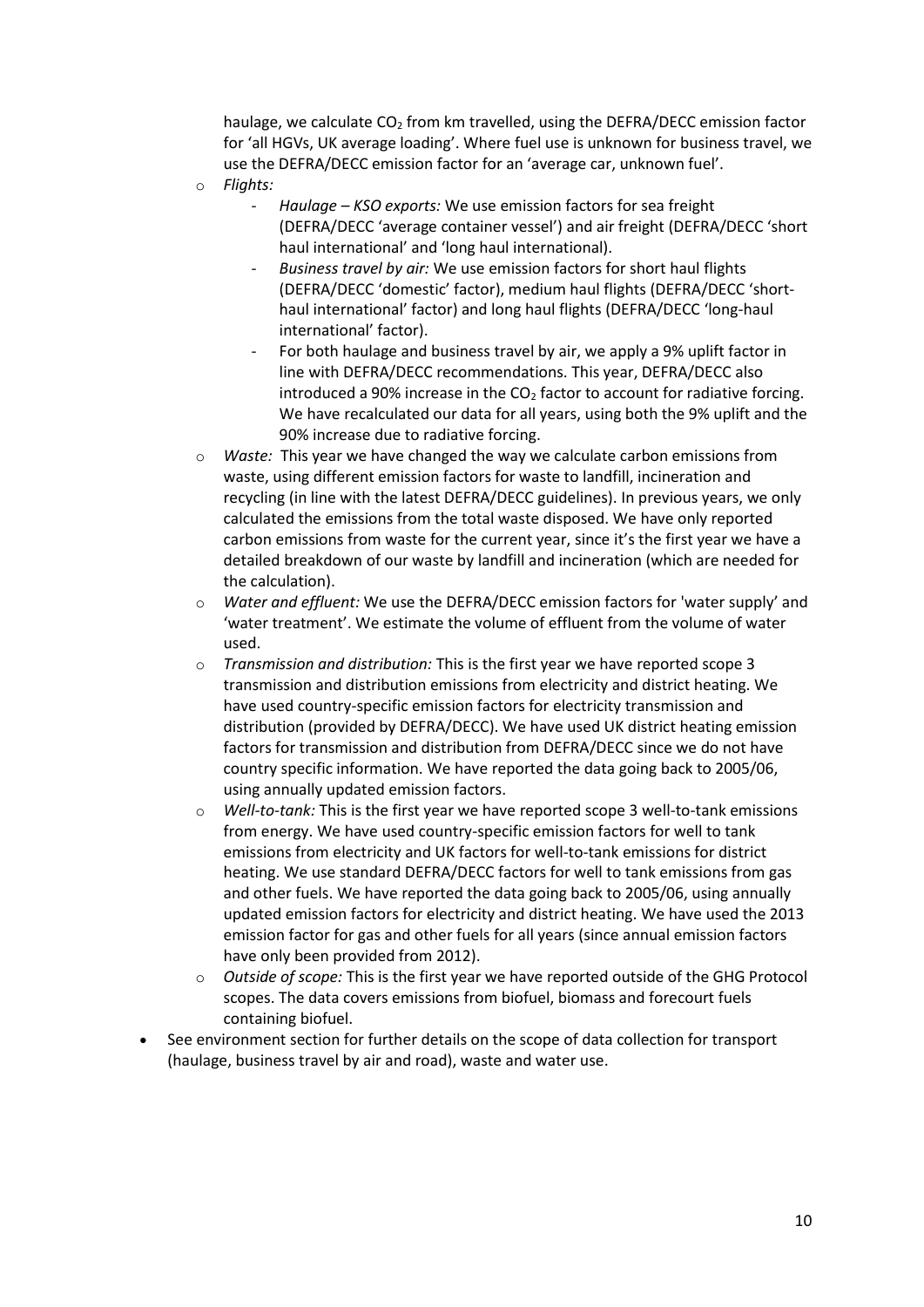haulage, we calculate CO<sub>2</sub> from km travelled, using the DEFRA/DECC emission factor for 'all HGVs, UK average loading'. Where fuel use is unknown for business travel, we use the DEFRA/DECC emission factor for an 'average car, unknown fuel'.

- o *Flights:* 
	- *Haulage – KSO exports:* We use emission factors for sea freight (DEFRA/DECC 'average container vessel') and air freight (DEFRA/DECC 'short haul international' and 'long haul international).
	- *Business travel by air:* We use emission factors for short haul flights (DEFRA/DECC 'domestic' factor), medium haul flights (DEFRA/DECC 'shorthaul international' factor) and long haul flights (DEFRA/DECC 'long-haul international' factor).
	- For both haulage and business travel by air, we apply a 9% uplift factor in line with DEFRA/DECC recommendations. This year, DEFRA/DECC also introduced a 90% increase in the  $CO<sub>2</sub>$  factor to account for radiative forcing. We have recalculated our data for all years, using both the 9% uplift and the 90% increase due to radiative forcing.
- o *Waste:* This year we have changed the way we calculate carbon emissions from waste, using different emission factors for waste to landfill, incineration and recycling (in line with the latest DEFRA/DECC guidelines). In previous years, we only calculated the emissions from the total waste disposed. We have only reported carbon emissions from waste for the current year, since it's the first year we have a detailed breakdown of our waste by landfill and incineration (which are needed for the calculation).
- o *Water and effluent:* We use the DEFRA/DECC emission factors for 'water supply' and 'water treatment'. We estimate the volume of effluent from the volume of water used.
- o *Transmission and distribution:* This is the first year we have reported scope 3 transmission and distribution emissions from electricity and district heating. We have used country-specific emission factors for electricity transmission and distribution (provided by DEFRA/DECC). We have used UK district heating emission factors for transmission and distribution from DEFRA/DECC since we do not have country specific information. We have reported the data going back to 2005/06, using annually updated emission factors.
- o *Well-to-tank:* This is the first year we have reported scope 3 well-to-tank emissions from energy. We have used country-specific emission factors for well to tank emissions from electricity and UK factors for well-to-tank emissions for district heating. We use standard DEFRA/DECC factors for well to tank emissions from gas and other fuels. We have reported the data going back to 2005/06, using annually updated emission factors for electricity and district heating. We have used the 2013 emission factor for gas and other fuels for all years (since annual emission factors have only been provided from 2012).
- o *Outside of scope:* This is the first year we have reported outside of the GHG Protocol scopes. The data covers emissions from biofuel, biomass and forecourt fuels containing biofuel.
- <span id="page-9-0"></span>See environment section for further details on the scope of data collection for transport (haulage, business travel by air and road), waste and water use.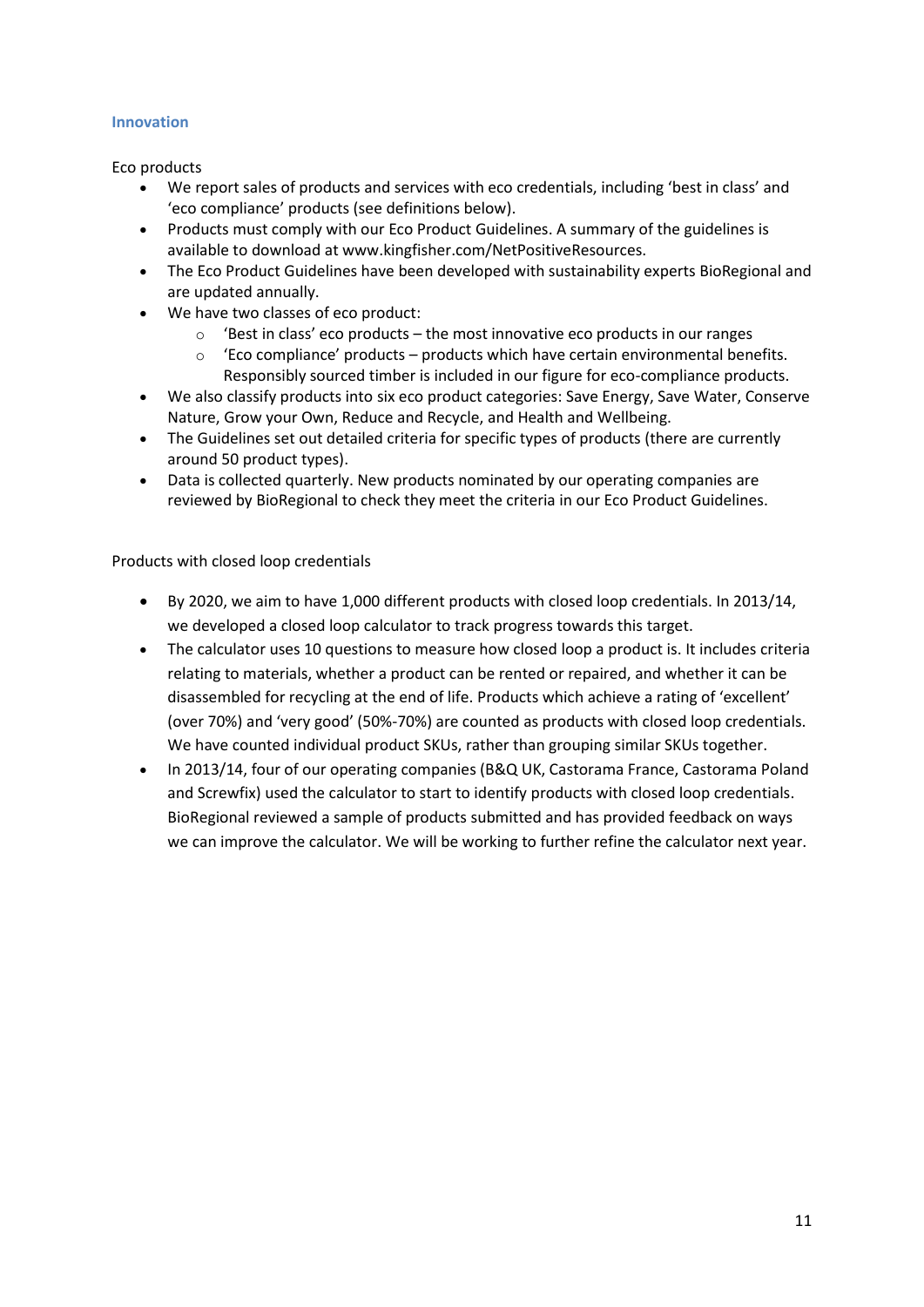#### **Innovation**

Eco products

- We report sales of products and services with eco credentials, including 'best in class' and 'eco compliance' products (see definitions below).
- Products must comply with our Eco Product Guidelines. A summary of the guidelines is available to download at www.kingfisher.com/NetPositiveResources.
- The Eco Product Guidelines have been developed with sustainability experts BioRegional and are updated annually.
- We have two classes of eco product:
	- 'Best in class' eco products the most innovative eco products in our ranges
	- $\circ$  'Eco compliance' products products which have certain environmental benefits. Responsibly sourced timber is included in our figure for eco-compliance products.
- We also classify products into six eco product categories: Save Energy, Save Water, Conserve Nature, Grow your Own, Reduce and Recycle, and Health and Wellbeing.
- The Guidelines set out detailed criteria for specific types of products (there are currently around 50 product types).
- Data is collected quarterly. New products nominated by our operating companies are reviewed by BioRegional to check they meet the criteria in our Eco Product Guidelines.

Products with closed loop credentials

- x By 2020, we aim to have 1,000 different products with closed loop credentials. In 2013/14, we developed a closed loop calculator to track progress towards this target.
- The calculator uses 10 questions to measure how closed loop a product is. It includes criteria relating to materials, whether a product can be rented or repaired, and whether it can be disassembled for recycling at the end of life. Products which achieve a rating of 'excellent' (over 70%) and 'very good' (50%-70%) are counted as products with closed loop credentials. We have counted individual product SKUs, rather than grouping similar SKUs together.
- In 2013/14, four of our operating companies (B&Q UK, Castorama France, Castorama Poland and Screwfix) used the calculator to start to identify products with closed loop credentials. BioRegional reviewed a sample of products submitted and has provided feedback on ways we can improve the calculator. We will be working to further refine the calculator next year.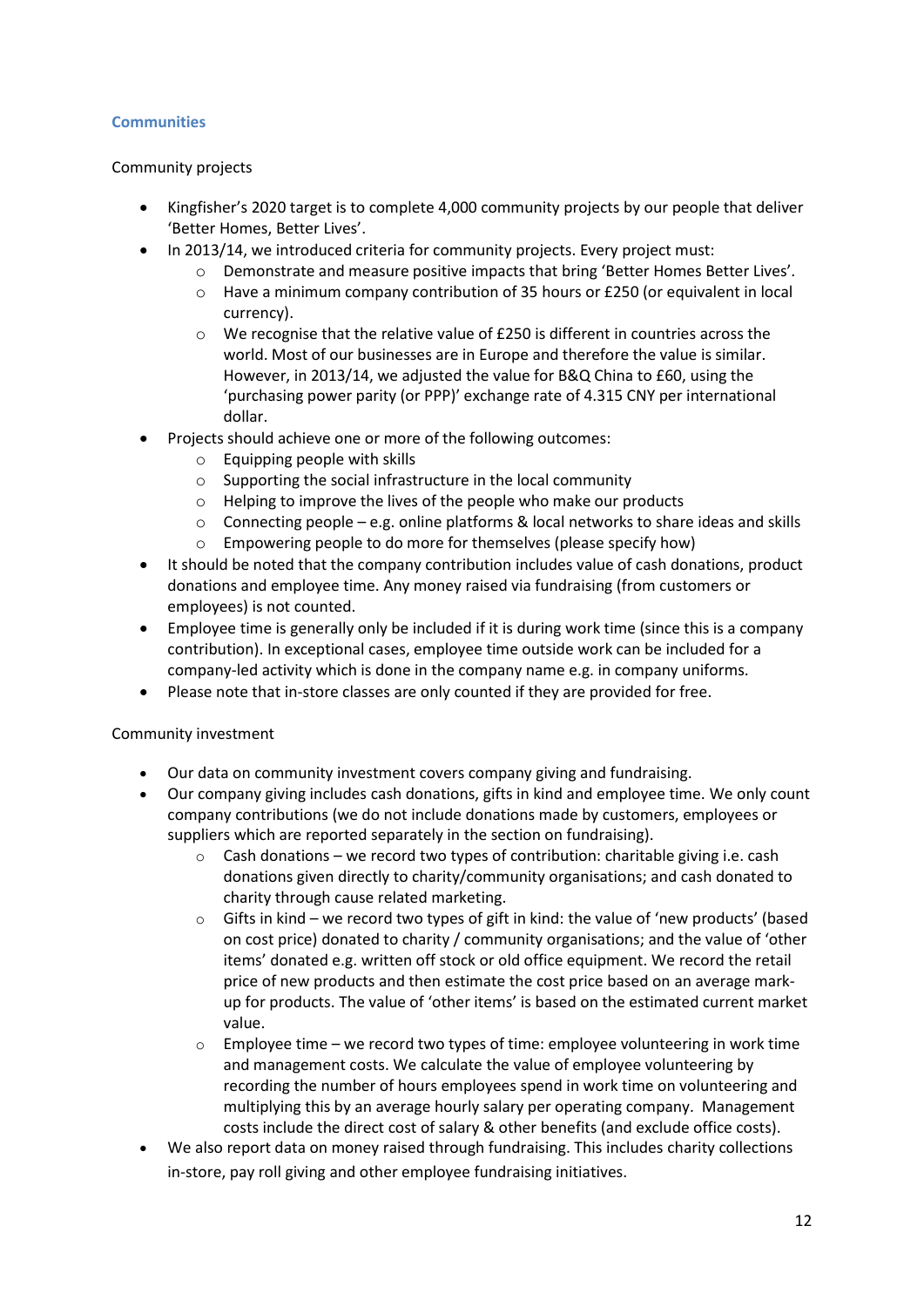#### <span id="page-11-0"></span>**Communities**

#### Community projects

- Kingfisher's 2020 target is to complete 4,000 community projects by our people that deliver 'Better Homes, Better Lives'.
- In 2013/14, we introduced criteria for community projects. Every project must:
	- o Demonstrate and measure positive impacts that bring 'Better Homes Better Lives'.
	- $\circ$  Have a minimum company contribution of 35 hours or £250 (or equivalent in local currency).
	- o We recognise that the relative value of £250 is different in countries across the world. Most of our businesses are in Europe and therefore the value is similar. However, in 2013/14, we adjusted the value for B&Q China to £60, using the 'purchasing power parity (or PPP)' exchange rate of 4.315 CNY per international dollar.
- Projects should achieve one or more of the following outcomes:
	- o Equipping people with skills
	- o Supporting the social infrastructure in the local community
	- o Helping to improve the lives of the people who make our products
	- $\circ$  Connecting people e.g. online platforms & local networks to share ideas and skills
	- o Empowering people to do more for themselves (please specify how)
- It should be noted that the company contribution includes value of cash donations, product donations and employee time. Any money raised via fundraising (from customers or employees) is not counted.
- Employee time is generally only be included if it is during work time (since this is a company contribution). In exceptional cases, employee time outside work can be included for a company-led activity which is done in the company name e.g. in company uniforms.
- Please note that in-store classes are only counted if they are provided for free.

#### Community investment

- Our data on community investment covers company giving and fundraising.
- Our company giving includes cash donations, gifts in kind and employee time. We only count company contributions (we do not include donations made by customers, employees or suppliers which are reported separately in the section on fundraising).
	- $\circ$  Cash donations we record two types of contribution: charitable giving i.e. cash donations given directly to charity/community organisations; and cash donated to charity through cause related marketing.
	- $\circ$  Gifts in kind we record two types of gift in kind: the value of 'new products' (based on cost price) donated to charity / community organisations; and the value of 'other items' donated e.g. written off stock or old office equipment. We record the retail price of new products and then estimate the cost price based on an average markup for products. The value of 'other items' is based on the estimated current market value.
	- $\circ$  Employee time we record two types of time: employee volunteering in work time and management costs. We calculate the value of employee volunteering by recording the number of hours employees spend in work time on volunteering and multiplying this by an average hourly salary per operating company. Management costs include the direct cost of salary & other benefits (and exclude office costs).
- We also report data on money raised through fundraising. This includes charity collections in-store, pay roll giving and other employee fundraising initiatives.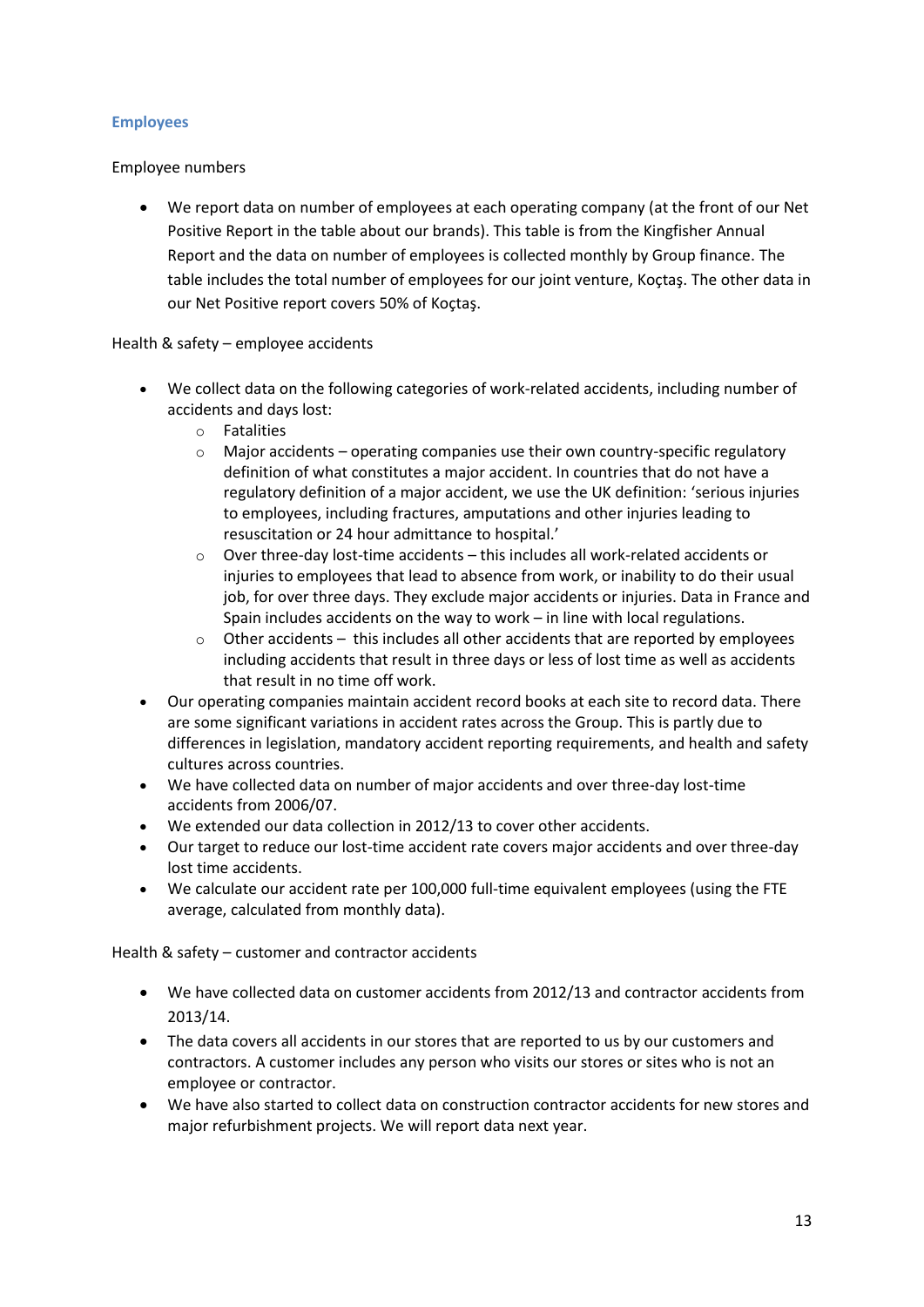#### <span id="page-12-0"></span>**Employees**

#### Employee numbers

We report data on number of employees at each operating company (at the front of our Net Positive Report in the table about our brands). This table is from the Kingfisher Annual Report and the data on number of employees is collected monthly by Group finance. The table includes the total number of employees for our joint venture, Koçtaş. The other data in our Net Positive report covers 50% of Koçtaş.

#### Health & safety – employee accidents

- We collect data on the following categories of work-related accidents, including number of accidents and days lost:
	- o Fatalities
	- $\circ$  Major accidents operating companies use their own country-specific regulatory definition of what constitutes a major accident. In countries that do not have a regulatory definition of a major accident, we use the UK definition: 'serious injuries to employees, including fractures, amputations and other injuries leading to resuscitation or 24 hour admittance to hospital.'
	- $\circ$  Over three-day lost-time accidents this includes all work-related accidents or injuries to employees that lead to absence from work, or inability to do their usual job, for over three days. They exclude major accidents or injuries. Data in France and Spain includes accidents on the way to work – in line with local regulations.
	- $\circ$  Other accidents this includes all other accidents that are reported by employees including accidents that result in three days or less of lost time as well as accidents that result in no time off work.
- Our operating companies maintain accident record books at each site to record data. There are some significant variations in accident rates across the Group. This is partly due to differences in legislation, mandatory accident reporting requirements, and health and safety cultures across countries.
- We have collected data on number of major accidents and over three-day lost-time accidents from 2006/07.
- We extended our data collection in 2012/13 to cover other accidents.
- Our target to reduce our lost-time accident rate covers major accidents and over three-day lost time accidents.
- We calculate our accident rate per 100,000 full-time equivalent employees (using the FTE average, calculated from monthly data).

Health & safety – customer and contractor accidents

- We have collected data on customer accidents from 2012/13 and contractor accidents from 2013/14.
- The data covers all accidents in our stores that are reported to us by our customers and contractors. A customer includes any person who visits our stores or sites who is not an employee or contractor.
- We have also started to collect data on construction contractor accidents for new stores and major refurbishment projects. We will report data next year.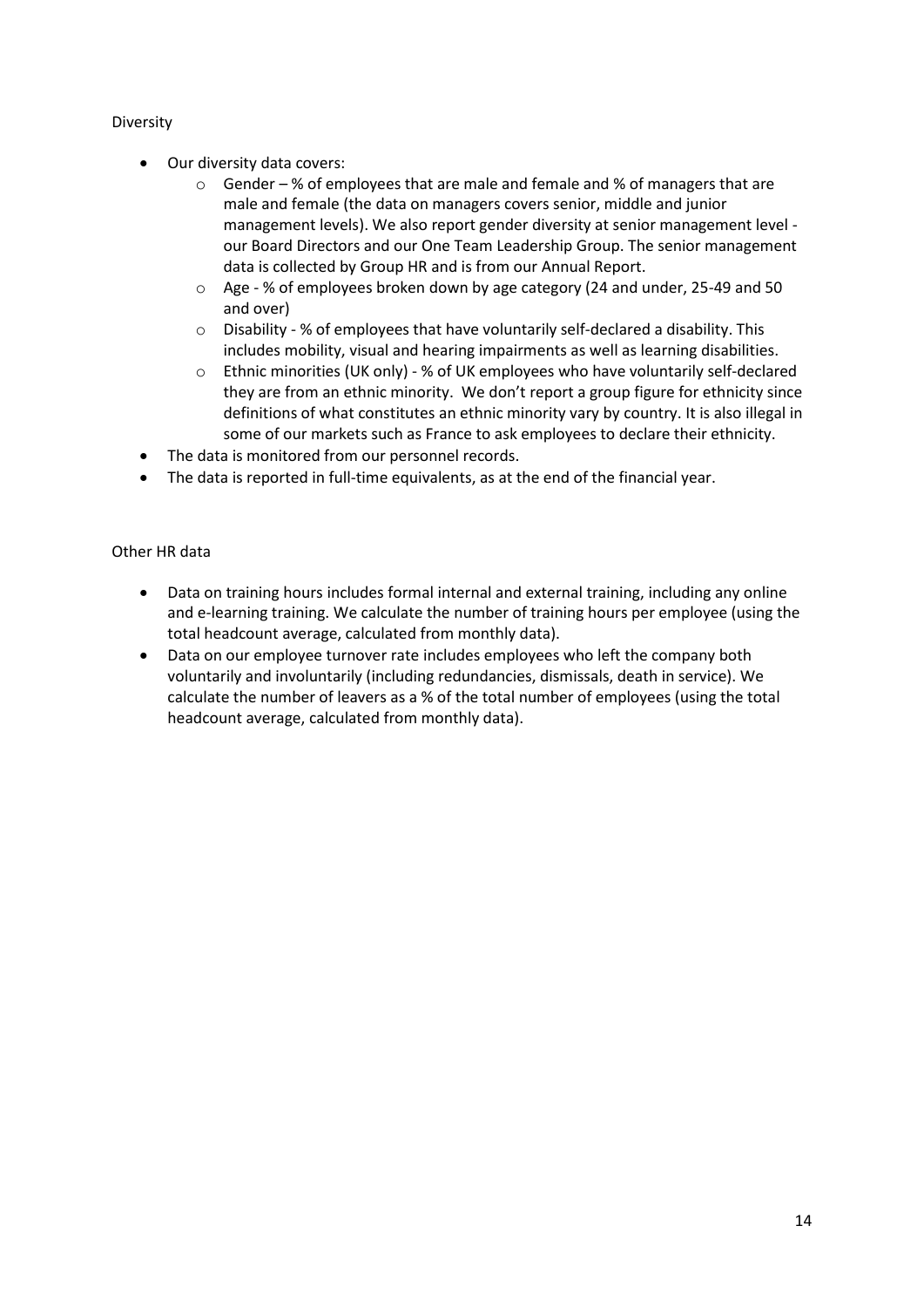#### Diversity

- Our diversity data covers:
	- $\circ$  Gender % of employees that are male and female and % of managers that are male and female (the data on managers covers senior, middle and junior management levels). We also report gender diversity at senior management level our Board Directors and our One Team Leadership Group. The senior management data is collected by Group HR and is from our Annual Report.
	- o Age % of employees broken down by age category (24 and under, 25-49 and 50 and over)
	- o Disability % of employees that have voluntarily self-declared a disability. This includes mobility, visual and hearing impairments as well as learning disabilities.
	- o Ethnic minorities (UK only) % of UK employees who have voluntarily self-declared they are from an ethnic minority. We don't report a group figure for ethnicity since definitions of what constitutes an ethnic minority vary by country. It is also illegal in some of our markets such as France to ask employees to declare their ethnicity.
- The data is monitored from our personnel records.
- The data is reported in full-time equivalents, as at the end of the financial year.

#### Other HR data

- Data on training hours includes formal internal and external training, including any online and e-learning training. We calculate the number of training hours per employee (using the total headcount average, calculated from monthly data).
- Data on our employee turnover rate includes employees who left the company both voluntarily and involuntarily (including redundancies, dismissals, death in service). We calculate the number of leavers as a % of the total number of employees (using the total headcount average, calculated from monthly data).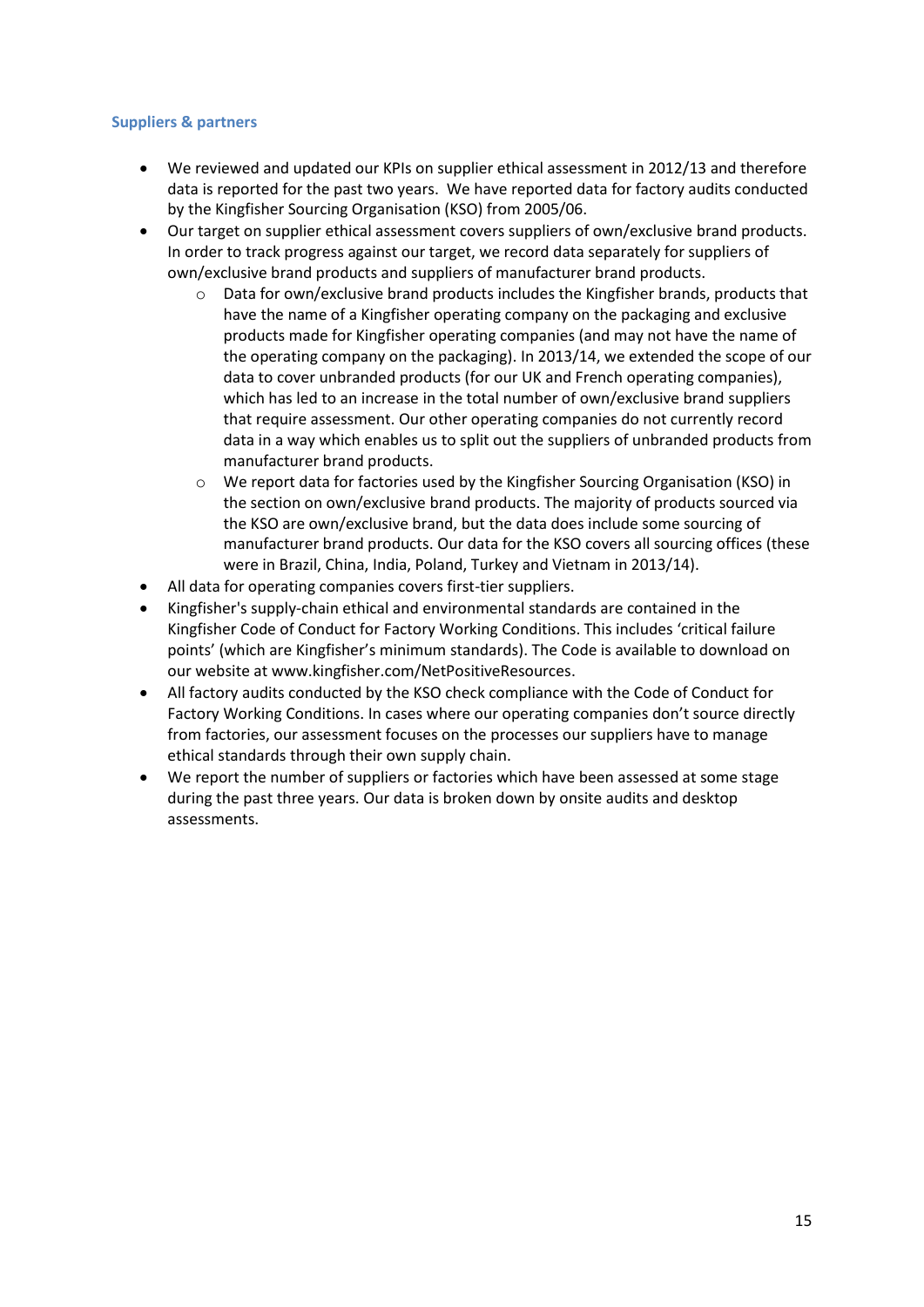#### <span id="page-14-0"></span>**Suppliers & partners**

- x We reviewed and updated our KPIs on supplier ethical assessment in 2012/13 and therefore data is reported for the past two years. We have reported data for factory audits conducted by the Kingfisher Sourcing Organisation (KSO) from 2005/06.
- Our target on supplier ethical assessment covers suppliers of own/exclusive brand products. In order to track progress against our target, we record data separately for suppliers of own/exclusive brand products and suppliers of manufacturer brand products.
	- Data for own/exclusive brand products includes the Kingfisher brands, products that have the name of a Kingfisher operating company on the packaging and exclusive products made for Kingfisher operating companies (and may not have the name of the operating company on the packaging). In 2013/14, we extended the scope of our data to cover unbranded products (for our UK and French operating companies), which has led to an increase in the total number of own/exclusive brand suppliers that require assessment. Our other operating companies do not currently record data in a way which enables us to split out the suppliers of unbranded products from manufacturer brand products.
	- o We report data for factories used by the Kingfisher Sourcing Organisation (KSO) in the section on own/exclusive brand products. The majority of products sourced via the KSO are own/exclusive brand, but the data does include some sourcing of manufacturer brand products. Our data for the KSO covers all sourcing offices (these were in Brazil, China, India, Poland, Turkey and Vietnam in 2013/14).
- All data for operating companies covers first-tier suppliers.
- x Kingfisher's supply-chain ethical and environmental standards are contained in the Kingfisher Code of Conduct for Factory Working Conditions. This includes 'critical failure points' (which are Kingfisher's minimum standards). The Code is available to download on our website at www.kingfisher.com/NetPositiveResources.
- All factory audits conducted by the KSO check compliance with the Code of Conduct for Factory Working Conditions. In cases where our operating companies don't source directly from factories, our assessment focuses on the processes our suppliers have to manage ethical standards through their own supply chain.
- We report the number of suppliers or factories which have been assessed at some stage during the past three years. Our data is broken down by onsite audits and desktop assessments.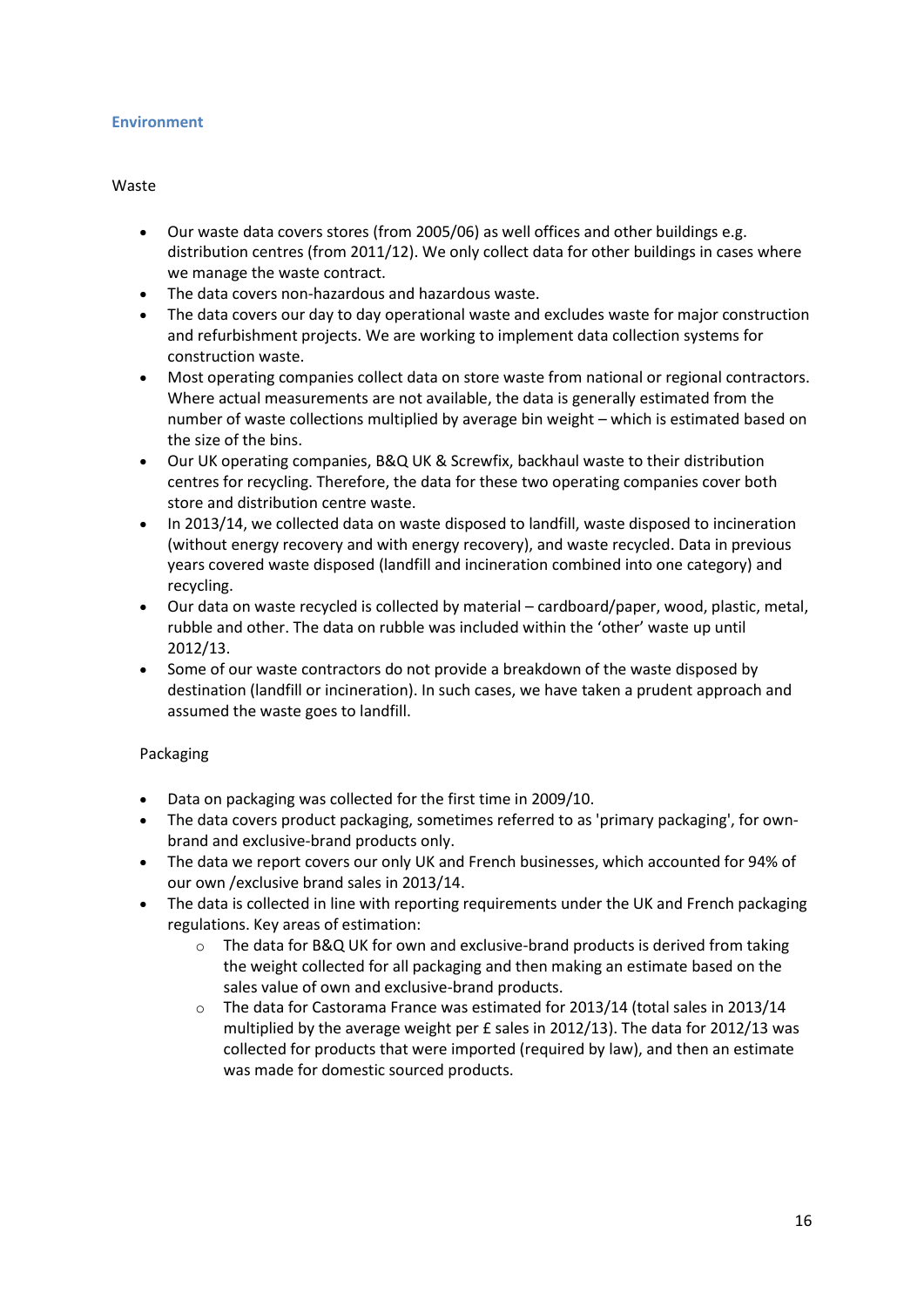#### <span id="page-15-0"></span>**Environment**

#### Waste

- Our waste data covers stores (from 2005/06) as well offices and other buildings e.g. distribution centres (from 2011/12). We only collect data for other buildings in cases where we manage the waste contract.
- The data covers non-hazardous and hazardous waste.
- The data covers our day to day operational waste and excludes waste for major construction and refurbishment projects. We are working to implement data collection systems for construction waste.
- Most operating companies collect data on store waste from national or regional contractors. Where actual measurements are not available, the data is generally estimated from the number of waste collections multiplied by average bin weight – which is estimated based on the size of the bins.
- Our UK operating companies, B&Q UK & Screwfix, backhaul waste to their distribution centres for recycling. Therefore, the data for these two operating companies cover both store and distribution centre waste.
- In 2013/14, we collected data on waste disposed to landfill, waste disposed to incineration (without energy recovery and with energy recovery), and waste recycled. Data in previous years covered waste disposed (landfill and incineration combined into one category) and recycling.
- Our data on waste recycled is collected by material cardboard/paper, wood, plastic, metal, rubble and other. The data on rubble was included within the 'other' waste up until 2012/13.
- Some of our waste contractors do not provide a breakdown of the waste disposed by destination (landfill or incineration). In such cases, we have taken a prudent approach and assumed the waste goes to landfill.

#### Packaging

- Data on packaging was collected for the first time in 2009/10.
- The data covers product packaging, sometimes referred to as 'primary packaging', for ownbrand and exclusive-brand products only.
- The data we report covers our only UK and French businesses, which accounted for 94% of our own /exclusive brand sales in 2013/14.
- The data is collected in line with reporting requirements under the UK and French packaging regulations. Key areas of estimation:
	- $\circ$  The data for B&Q UK for own and exclusive-brand products is derived from taking the weight collected for all packaging and then making an estimate based on the sales value of own and exclusive-brand products.
	- $\circ$  The data for Castorama France was estimated for 2013/14 (total sales in 2013/14 multiplied by the average weight per £ sales in 2012/13). The data for 2012/13 was collected for products that were imported (required by law), and then an estimate was made for domestic sourced products.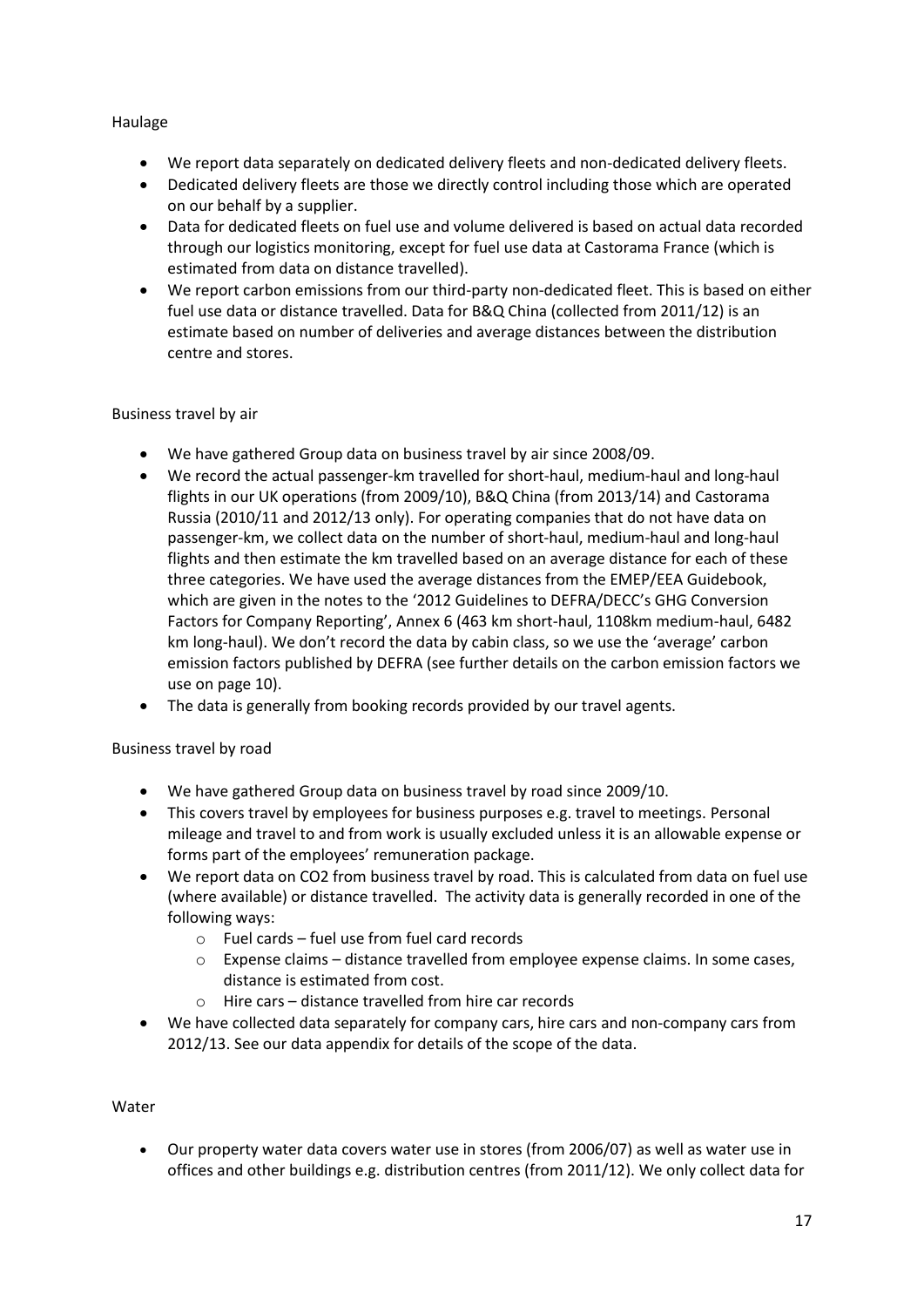#### Haulage

- We report data separately on dedicated delivery fleets and non-dedicated delivery fleets.
- Dedicated delivery fleets are those we directly control including those which are operated on our behalf by a supplier.
- Data for dedicated fleets on fuel use and volume delivered is based on actual data recorded through our logistics monitoring, except for fuel use data at Castorama France (which is estimated from data on distance travelled).
- We report carbon emissions from our third-party non-dedicated fleet. This is based on either fuel use data or distance travelled. Data for B&Q China (collected from 2011/12) is an estimate based on number of deliveries and average distances between the distribution centre and stores.

#### Business travel by air

- We have gathered Group data on business travel by air since 2008/09.
- We record the actual passenger-km travelled for short-haul, medium-haul and long-haul flights in our UK operations (from 2009/10), B&Q China (from 2013/14) and Castorama Russia (2010/11 and 2012/13 only). For operating companies that do not have data on passenger-km, we collect data on the number of short-haul, medium-haul and long-haul flights and then estimate the km travelled based on an average distance for each of these three categories. We have used the average distances from the EMEP/EEA Guidebook, which are given in the notes to the '2012 Guidelines to DEFRA/DECC's GHG Conversion Factors for Company Reporting', Annex 6 (463 km short-haul, 1108km medium-haul, 6482 km long-haul). We don't record the data by cabin class, so we use the 'average' carbon emission factors published by DEFRA (see further details on the carbon emission factors we use on page 10).
- The data is generally from booking records provided by our travel agents.

#### Business travel by road

- We have gathered Group data on business travel by road since 2009/10.
- This covers travel by employees for business purposes e.g. travel to meetings. Personal mileage and travel to and from work is usually excluded unless it is an allowable expense or forms part of the employees' remuneration package.
- We report data on CO2 from business travel by road. This is calculated from data on fuel use (where available) or distance travelled. The activity data is generally recorded in one of the following ways:
	- o Fuel cards fuel use from fuel card records
	- o Expense claims distance travelled from employee expense claims. In some cases, distance is estimated from cost.
	- o Hire cars distance travelled from hire car records
- We have collected data separately for company cars, hire cars and non-company cars from 2012/13. See our data appendix for details of the scope of the data.

#### Water

x Our property water data covers water use in stores (from 2006/07) as well as water use in offices and other buildings e.g. distribution centres (from 2011/12). We only collect data for